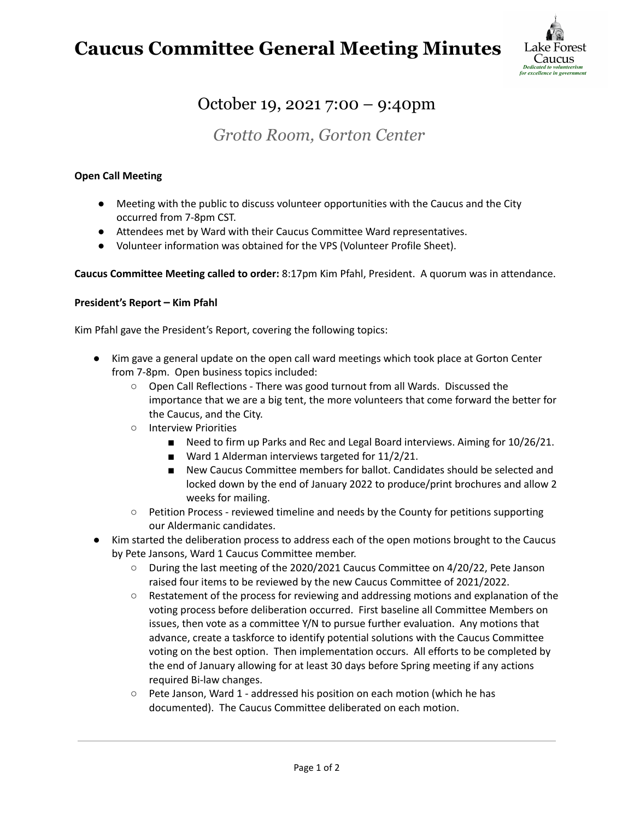# **Caucus Committee General Meeting Minutes**



## October 19, 2021 7:00 – 9:40pm

## *Grotto Room, Gorton Center*

### **Open Call Meeting**

- Meeting with the public to discuss volunteer opportunities with the Caucus and the City occurred from 7-8pm CST.
- Attendees met by Ward with their Caucus Committee Ward representatives.
- Volunteer information was obtained for the VPS (Volunteer Profile Sheet).

**Caucus Committee Meeting called to order:** 8:17pm Kim Pfahl, President. A quorum was in attendance.

#### **President's Report – Kim Pfahl**

Kim Pfahl gave the President's Report, covering the following topics:

- Kim gave a general update on the open call ward meetings which took place at Gorton Center from 7-8pm. Open business topics included:
	- Open Call Reflections There was good turnout from all Wards. Discussed the importance that we are a big tent, the more volunteers that come forward the better for the Caucus, and the City.
	- Interview Priorities
		- Need to firm up Parks and Rec and Legal Board interviews. Aiming for 10/26/21.
		- Ward 1 Alderman interviews targeted for 11/2/21.
		- New Caucus Committee members for ballot. Candidates should be selected and locked down by the end of January 2022 to produce/print brochures and allow 2 weeks for mailing.
	- Petition Process reviewed timeline and needs by the County for petitions supporting our Aldermanic candidates.
- Kim started the deliberation process to address each of the open motions brought to the Caucus by Pete Jansons, Ward 1 Caucus Committee member.
	- During the last meeting of the 2020/2021 Caucus Committee on 4/20/22, Pete Janson raised four items to be reviewed by the new Caucus Committee of 2021/2022.
	- Restatement of the process for reviewing and addressing motions and explanation of the voting process before deliberation occurred. First baseline all Committee Members on issues, then vote as a committee Y/N to pursue further evaluation. Any motions that advance, create a taskforce to identify potential solutions with the Caucus Committee voting on the best option. Then implementation occurs. All efforts to be completed by the end of January allowing for at least 30 days before Spring meeting if any actions required Bi-law changes.
	- Pete Janson, Ward 1 addressed his position on each motion (which he has documented). The Caucus Committee deliberated on each motion.